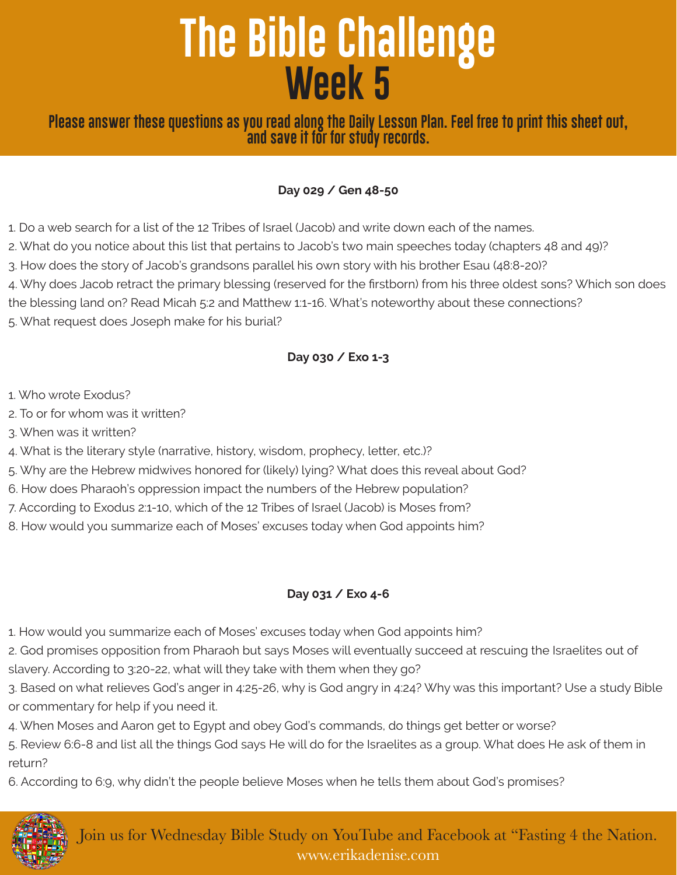# **The Bible Challenge Week 5**

**Please answer these questions as you read along the Daily Lesson Plan. Feel free to print this sheet out, and save it for for study records.**

#### **Day 029 / Gen 48-50**

1. Do a web search for a list of the 12 Tribes of Israel (Jacob) and write down each of the names.

2. What do you notice about this list that pertains to Jacob's two main speeches today (chapters 48 and 49)?

3. How does the story of Jacob's grandsons parallel his own story with his brother Esau (48:8-20)?

4. Why does Jacob retract the primary blessing (reserved for the firstborn) from his three oldest sons? Which son does

the blessing land on? Read Micah 5:2 and Matthew 1:1-16. What's noteworthy about these connections?

5. What request does Joseph make for his burial?

## **Day 030 / Exo 1-3**

1. Who wrote Exodus?

2. To or for whom was it written?

3. When was it written?

4. What is the literary style (narrative, history, wisdom, prophecy, letter, etc.)?

5. Why are the Hebrew midwives honored for (likely) lying? What does this reveal about God?

6. How does Pharaoh's oppression impact the numbers of the Hebrew population?

7. According to Exodus 2:1-10, which of the 12 Tribes of Israel (Jacob) is Moses from?

8. How would you summarize each of Moses' excuses today when God appoints him?

## **Day 031 / Exo 4-6**

1. How would you summarize each of Moses' excuses today when God appoints him?

2. God promises opposition from Pharaoh but says Moses will eventually succeed at rescuing the Israelites out of slavery. According to 3:20-22, what will they take with them when they go?

3. Based on what relieves God's anger in 4:25-26, why is God angry in 4:24? Why was this important? Use a study Bible or commentary for help if you need it.

4. When Moses and Aaron get to Egypt and obey God's commands, do things get better or worse?

5. Review 6:6-8 and list all the things God says He will do for the Israelites as a group. What does He ask of them in return?

6. According to 6:9, why didn't the people believe Moses when he tells them about God's promises?



Join us for Wednesday Bible Study on YouTube and Facebook at "Fasting 4 the Nation. www.erikadenise.com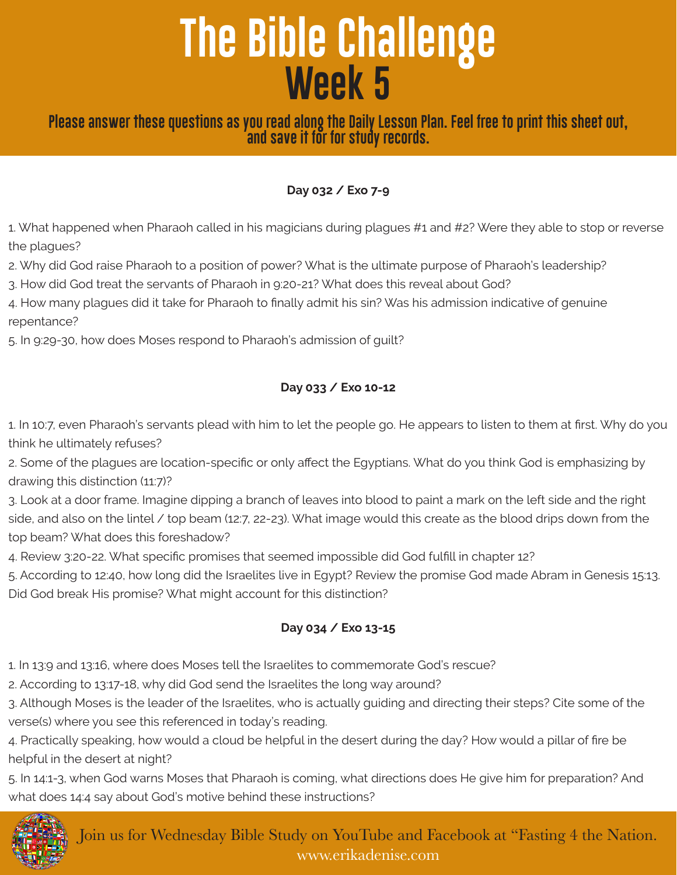# **The Bible Challenge Week 5**

# **Please answer these questions as you read along the Daily Lesson Plan. Feel free to print this sheet out, and save it for for study records.**

#### **Day 032 / Exo 7-9**

1. What happened when Pharaoh called in his magicians during plagues #1 and #2? Were they able to stop or reverse the plagues?

2. Why did God raise Pharaoh to a position of power? What is the ultimate purpose of Pharaoh's leadership?

3. How did God treat the servants of Pharaoh in 9:20-21? What does this reveal about God?

4. How many plagues did it take for Pharaoh to finally admit his sin? Was his admission indicative of genuine repentance?

5. In 9:29-30, how does Moses respond to Pharaoh's admission of guilt?

#### **Day 033 / Exo 10-12**

1. In 10:7, even Pharaoh's servants plead with him to let the people go. He appears to listen to them at first. Why do you think he ultimately refuses?

2. Some of the plagues are location-specific or only affect the Egyptians. What do you think God is emphasizing by drawing this distinction (11:7)?

3. Look at a door frame. Imagine dipping a branch of leaves into blood to paint a mark on the left side and the right side, and also on the lintel / top beam (12:7, 22-23). What image would this create as the blood drips down from the top beam? What does this foreshadow?

4. Review 3:20-22. What specific promises that seemed impossible did God fulfill in chapter 12?

5. According to 12:40, how long did the Israelites live in Egypt? Review the promise God made Abram in Genesis 15:13. Did God break His promise? What might account for this distinction?

## **Day 034 / Exo 13-15**

1. In 13:9 and 13:16, where does Moses tell the Israelites to commemorate God's rescue?

2. According to 13:17-18, why did God send the Israelites the long way around?

3. Although Moses is the leader of the Israelites, who is actually guiding and directing their steps? Cite some of the verse(s) where you see this referenced in today's reading.

4. Practically speaking, how would a cloud be helpful in the desert during the day? How would a pillar of fire be helpful in the desert at night?

5. In 14:1-3, when God warns Moses that Pharaoh is coming, what directions does He give him for preparation? And what does 14:4 say about God's motive behind these instructions?



Join us for Wednesday Bible Study on YouTube and Facebook at "Fasting 4 the Nation. www.erikadenise.com